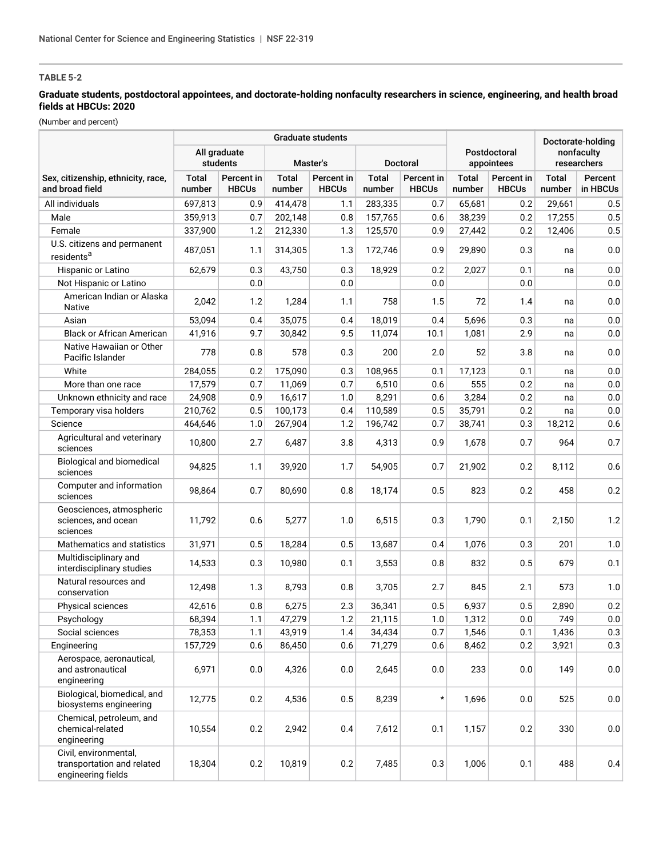# **TABLE 5-2**

## **Graduate students, postdoctoral appointees, and doctorate-holding nonfaculty researchers in science, engineering, and health broad fields at HBCUs: 2020**

(Number and percent)

|                                                                           | <b>Graduate students</b> |                                                         |                        |                            |                        |                            |                            |                            |                        | Doctorate-holding   |  |
|---------------------------------------------------------------------------|--------------------------|---------------------------------------------------------|------------------------|----------------------------|------------------------|----------------------------|----------------------------|----------------------------|------------------------|---------------------|--|
|                                                                           |                          | All graduate<br>students<br>Master's<br><b>Doctoral</b> |                        |                            |                        |                            | Postdoctoral<br>appointees | nonfaculty<br>researchers  |                        |                     |  |
| Sex, citizenship, ethnicity, race,<br>and broad field                     | <b>Total</b><br>number   | Percent in<br><b>HBCUs</b>                              | <b>Total</b><br>number | Percent in<br><b>HBCUs</b> | <b>Total</b><br>number | Percent in<br><b>HBCUs</b> | <b>Total</b><br>number     | Percent in<br><b>HBCUs</b> | <b>Total</b><br>number | Percent<br>in HBCUs |  |
| All individuals                                                           | 697.813                  | 0.9                                                     | 414,478                | 1.1                        | 283,335                | 0.7                        | 65,681                     | 0.2                        | 29,661                 | 0.5                 |  |
| Male                                                                      | 359,913                  | 0.7                                                     | 202,148                | 0.8                        | 157,765                | 0.6                        | 38,239                     | 0.2                        | 17,255                 | 0.5                 |  |
| Female                                                                    | 337,900                  | 1.2                                                     | 212,330                | 1.3                        | 125,570                | 0.9                        | 27,442                     | 0.2                        | 12,406                 | 0.5                 |  |
| U.S. citizens and permanent<br>residents <sup>a</sup>                     | 487,051                  | 1.1                                                     | 314,305                | 1.3                        | 172,746                | 0.9                        | 29,890                     | 0.3                        | na                     | $0.0\,$             |  |
| Hispanic or Latino                                                        | 62,679                   | 0.3                                                     | 43,750                 | 0.3                        | 18,929                 | 0.2                        | 2,027                      | 0.1                        | na                     | $0.0\,$             |  |
| Not Hispanic or Latino                                                    |                          | 0.0                                                     |                        | 0.0                        |                        | 0.0                        |                            | 0.0                        |                        | 0.0                 |  |
| American Indian or Alaska<br>Native                                       | 2,042                    | 1.2                                                     | 1,284                  | 1.1                        | 758                    | 1.5                        | 72                         | 1.4                        | na                     | $0.0\,$             |  |
| Asian                                                                     | 53,094                   | 0.4                                                     | 35,075                 | 0.4                        | 18,019                 | 0.4                        | 5,696                      | 0.3                        | na                     | 0.0                 |  |
| <b>Black or African American</b>                                          | 41,916                   | 9.7                                                     | 30,842                 | 9.5                        | 11,074                 | 10.1                       | 1,081                      | 2.9                        | na                     | 0.0                 |  |
| Native Hawaiian or Other<br>Pacific Islander                              | 778                      | 0.8                                                     | 578                    | 0.3                        | 200                    | 2.0                        | 52                         | 3.8                        | na                     | 0.0                 |  |
| White                                                                     | 284,055                  | 0.2                                                     | 175,090                | 0.3                        | 108,965                | 0.1                        | 17,123                     | 0.1                        | na                     | $0.0\,$             |  |
| More than one race                                                        | 17,579                   | 0.7                                                     | 11,069                 | 0.7                        | 6,510                  | 0.6                        | 555                        | 0.2                        | na                     | $0.0\,$             |  |
| Unknown ethnicity and race                                                | 24,908                   | 0.9                                                     | 16,617                 | 1.0                        | 8,291                  | 0.6                        | 3,284                      | 0.2                        | na                     | $0.0\,$             |  |
| Temporary visa holders                                                    | 210,762                  | 0.5                                                     | 100,173                | 0.4                        | 110,589                | 0.5                        | 35,791                     | 0.2                        | na                     | $0.0\,$             |  |
| Science                                                                   | 464.646                  | 1.0                                                     | 267,904                | 1.2                        | 196,742                | 0.7                        | 38,741                     | 0.3                        | 18,212                 | 0.6                 |  |
| Agricultural and veterinary<br>sciences                                   | 10,800                   | 2.7                                                     | 6,487                  | 3.8                        | 4,313                  | 0.9                        | 1,678                      | 0.7                        | 964                    | 0.7                 |  |
| Biological and biomedical<br>sciences                                     | 94,825                   | 1.1                                                     | 39,920                 | 1.7                        | 54,905                 | 0.7                        | 21,902                     | 0.2                        | 8,112                  | 0.6                 |  |
| Computer and information<br>sciences                                      | 98,864                   | 0.7                                                     | 80,690                 | 0.8                        | 18,174                 | 0.5                        | 823                        | 0.2                        | 458                    | 0.2                 |  |
| Geosciences, atmospheric<br>sciences, and ocean<br>sciences               | 11,792                   | 0.6                                                     | 5,277                  | 1.0                        | 6,515                  | 0.3                        | 1,790                      | 0.1                        | 2,150                  | 1.2                 |  |
| Mathematics and statistics                                                | 31,971                   | 0.5                                                     | 18,284                 | 0.5                        | 13,687                 | 0.4                        | 1,076                      | 0.3                        | 201                    | 1.0                 |  |
| Multidisciplinary and<br>interdisciplinary studies                        | 14,533                   | 0.3                                                     | 10,980                 | 0.1                        | 3,553                  | 0.8                        | 832                        | 0.5                        | 679                    | 0.1                 |  |
| Natural resources and<br>conservation                                     | 12,498                   | 1.3                                                     | 8,793                  | 0.8                        | 3,705                  | 2.7                        | 845                        | 2.1                        | 573                    | 1.0                 |  |
| Physical sciences                                                         | 42,616                   | 0.8                                                     | 6,275                  | 2.3                        | 36,341                 | 0.5                        | 6,937                      | 0.5                        | 2,890                  | 0.2                 |  |
| Psychology                                                                | 68,394                   | 1.1                                                     | 47,279                 | $1.2\,$                    | 21,115                 | $1.0\,$                    | 1,312                      | $0.0\,$                    | 749                    | $0.0\,$             |  |
| Social sciences                                                           | 78,353                   | 1.1                                                     | 43,919                 | 1.4                        | 34,434                 | 0.7                        | 1,546                      | 0.1                        | 1,436                  | 0.3                 |  |
| Engineering                                                               | 157,729                  | 0.6                                                     | 86,450                 | 0.6                        | 71,279                 | 0.6                        | 8,462                      | 0.2                        | 3,921                  | 0.3                 |  |
| Aerospace, aeronautical,<br>and astronautical<br>engineering              | 6,971                    | 0.0                                                     | 4,326                  | 0.0                        | 2,645                  | 0.0                        | 233                        | 0.0                        | 149                    | 0.0                 |  |
| Biological, biomedical, and<br>biosystems engineering                     | 12,775                   | 0.2                                                     | 4,536                  | 0.5                        | 8,239                  | $^{\star}$                 | 1,696                      | 0.0                        | 525                    | $0.0\,$             |  |
| Chemical, petroleum, and<br>chemical-related<br>engineering               | 10,554                   | 0.2                                                     | 2,942                  | 0.4                        | 7,612                  | 0.1                        | 1,157                      | 0.2                        | 330                    | 0.0                 |  |
| Civil, environmental.<br>transportation and related<br>engineering fields | 18,304                   | 0.2                                                     | 10,819                 | 0.2                        | 7,485                  | 0.3                        | 1,006                      | 0.1                        | 488                    | 0.4                 |  |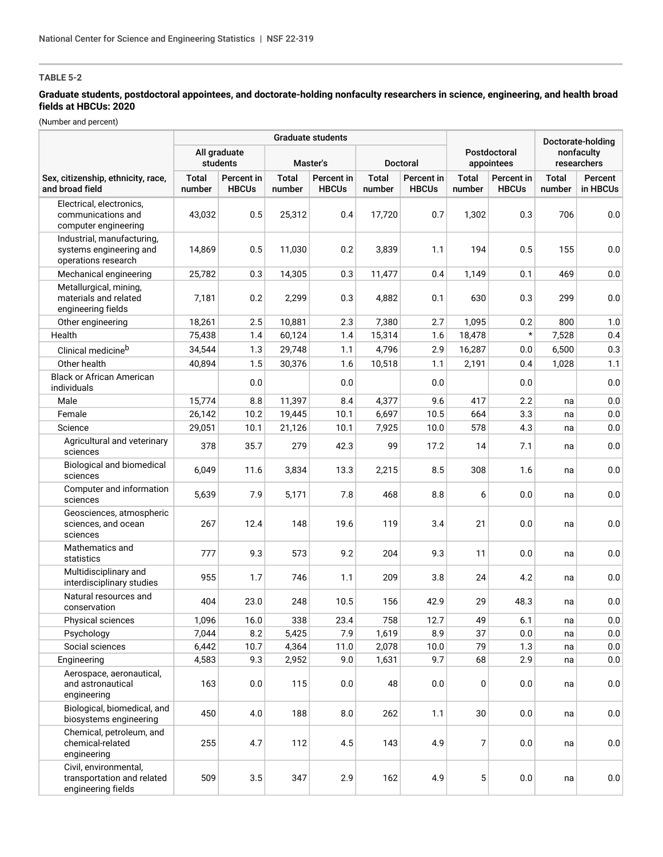# **TABLE 5-2**

## **Graduate students, postdoctoral appointees, and doctorate-holding nonfaculty researchers in science, engineering, and health broad fields at HBCUs: 2020**

(Number and percent)

|                                                                              | <b>Graduate students</b> |                            |                        |                            |                        |                            |                            |                            | Doctorate-holding         |                     |
|------------------------------------------------------------------------------|--------------------------|----------------------------|------------------------|----------------------------|------------------------|----------------------------|----------------------------|----------------------------|---------------------------|---------------------|
|                                                                              | All graduate<br>students |                            | Master's               |                            | <b>Doctoral</b>        |                            | Postdoctoral<br>appointees |                            | nonfaculty<br>researchers |                     |
| Sex, citizenship, ethnicity, race,<br>and broad field                        | <b>Total</b><br>number   | Percent in<br><b>HBCUs</b> | <b>Total</b><br>number | Percent in<br><b>HBCUs</b> | <b>Total</b><br>number | Percent in<br><b>HBCUs</b> | <b>Total</b><br>number     | Percent in<br><b>HBCUs</b> | <b>Total</b><br>number    | Percent<br>in HBCUs |
| Electrical, electronics.<br>communications and<br>computer engineering       | 43,032                   | 0.5                        | 25,312                 | 0.4                        | 17,720                 | 0.7                        | 1,302                      | 0.3                        | 706                       | 0.0                 |
| Industrial, manufacturing.<br>systems engineering and<br>operations research | 14,869                   | 0.5                        | 11,030                 | 0.2                        | 3,839                  | 1.1                        | 194                        | 0.5                        | 155                       | 0.0                 |
| Mechanical engineering                                                       | 25,782                   | 0.3                        | 14,305                 | 0.3                        | 11,477                 | 0.4                        | 1,149                      | 0.1                        | 469                       | 0.0                 |
| Metallurgical, mining,<br>materials and related<br>engineering fields        | 7,181                    | 0.2                        | 2,299                  | 0.3                        | 4,882                  | 0.1                        | 630                        | 0.3                        | 299                       | 0.0                 |
| Other engineering                                                            | 18,261                   | 2.5                        | 10,881                 | 2.3                        | 7,380                  | 2.7                        | 1,095                      | 0.2                        | 800                       | 1.0                 |
| Health                                                                       | 75,438                   | 1.4                        | 60,124                 | 1.4                        | 15,314                 | 1.6                        | 18,478                     | $\star$                    | 7,528                     | 0.4                 |
| Clinical medicine <sup>b</sup>                                               | 34,544                   | 1.3                        | 29,748                 | 1.1                        | 4,796                  | 2.9                        | 16,287                     | 0.0                        | 6,500                     | 0.3                 |
| Other health                                                                 | 40,894                   | 1.5                        | 30,376                 | 1.6                        | 10,518                 | 1.1                        | 2,191                      | 0.4                        | 1,028                     | 1.1                 |
| <b>Black or African American</b><br>individuals                              |                          | 0.0                        |                        | 0.0                        |                        | 0.0                        |                            | 0.0                        |                           | 0.0                 |
| Male                                                                         | 15,774                   | 8.8                        | 11,397                 | 8.4                        | 4,377                  | 9.6                        | 417                        | 2.2                        | na                        | $0.0\,$             |
| Female                                                                       | 26,142                   | 10.2                       | 19,445                 | 10.1                       | 6,697                  | 10.5                       | 664                        | 3.3                        | na                        | $0.0\,$             |
| Science                                                                      | 29,051                   | 10.1                       | 21,126                 | 10.1                       | 7,925                  | 10.0                       | 578                        | 4.3                        | na                        | $0.0\,$             |
| Agricultural and veterinary<br>sciences                                      | 378                      | 35.7                       | 279                    | 42.3                       | 99                     | 17.2                       | 14                         | 7.1                        | na                        | 0.0                 |
| Biological and biomedical<br>sciences                                        | 6,049                    | 11.6                       | 3,834                  | 13.3                       | 2,215                  | 8.5                        | 308                        | 1.6                        | na                        | 0.0                 |
| Computer and information<br>sciences                                         | 5,639                    | 7.9                        | 5,171                  | 7.8                        | 468                    | 8.8                        | 6                          | 0.0                        | na                        | $0.0\,$             |
| Geosciences, atmospheric<br>sciences, and ocean<br>sciences                  | 267                      | 12.4                       | 148                    | 19.6                       | 119                    | 3.4                        | 21                         | 0.0                        | na                        | 0.0                 |
| Mathematics and<br>statistics                                                | 777                      | 9.3                        | 573                    | 9.2                        | 204                    | 9.3                        | 11                         | 0.0                        | na                        | 0.0                 |
| Multidisciplinary and<br>interdisciplinary studies                           | 955                      | 1.7                        | 746                    | 1.1                        | 209                    | 3.8                        | 24                         | 4.2                        | na                        | 0.0                 |
| Natural resources and<br>conservation                                        | 404                      | 23.0                       | 248                    | 10.5                       | 156                    | 42.9                       | 29                         | 48.3                       | na                        | 0.0                 |
| Physical sciences                                                            | 1,096                    | 16.0                       | 338                    | 23.4                       | 758                    | 12.7                       | 49                         | 6.1                        | na                        | 0.0                 |
| Psychology                                                                   | 7,044                    | 8.2                        | 5,425                  | 7.9                        | 1,619                  | 8.9                        | 37                         | 0.0                        | na                        | 0.0                 |
| Social sciences                                                              | 6,442                    | 10.7                       | 4,364                  | 11.0                       | 2,078                  | 10.0                       | 79                         | 1.3                        | na                        | 0.0                 |
| Engineering                                                                  | 4,583                    | 9.3                        | 2,952                  | 9.0                        | 1,631                  | 9.7                        | 68                         | 2.9                        | na                        | 0.0                 |
| Aerospace, aeronautical,<br>and astronautical<br>engineering                 | 163                      | 0.0                        | 115                    | 0.0                        | 48                     | 0.0                        | 0                          | 0.0                        | na                        | 0.0                 |
| Biological, biomedical, and<br>biosystems engineering                        | 450                      | 4.0                        | 188                    | 8.0                        | 262                    | 1.1                        | $30\,$                     | 0.0                        | na                        | $0.0\,$             |
| Chemical, petroleum, and<br>chemical-related<br>engineering                  | 255                      | 4.7                        | 112                    | 4.5                        | 143                    | 4.9                        | 7                          | 0.0                        | na                        | 0.0                 |
| Civil, environmental,<br>transportation and related<br>engineering fields    | 509                      | 3.5                        | 347                    | 2.9                        | 162                    | 4.9                        | 5                          | 0.0                        | na                        | 0.0                 |